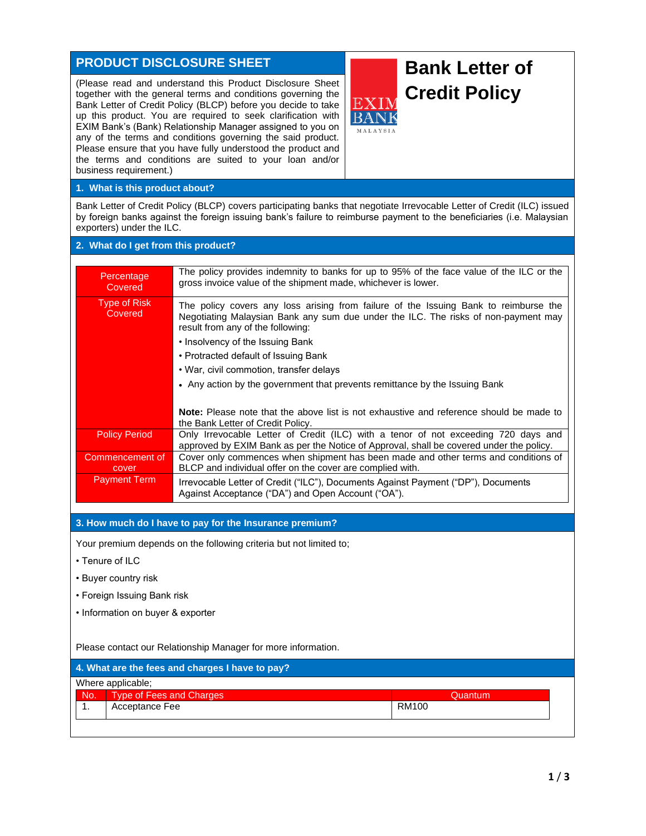# **PRODUCT DISCLOSURE SHEET**

(Please read and understand this Product Disclosure Sheet together with the general terms and conditions governing the Bank Letter of Credit Policy (BLCP) before you decide to take up this product. You are required to seek clarification with EXIM Bank's (Bank) Relationship Manager assigned to you on any of the terms and conditions governing the said product. Please ensure that you have fully understood the product and the terms and conditions are suited to your loan and/or business requirement.)



## **1. What is this product about?**

Bank Letter of Credit Policy (BLCP) covers participating banks that negotiate Irrevocable Letter of Credit (ILC) issued by foreign banks against the foreign issuing bank's failure to reimburse payment to the beneficiaries (i.e. Malaysian exporters) under the ILC.

## **2. What do I get from this product?**

| Percentage<br>Covered    | The policy provides indemnity to banks for up to 95% of the face value of the ILC or the<br>gross invoice value of the shipment made, whichever is lower.                                                       |
|--------------------------|-----------------------------------------------------------------------------------------------------------------------------------------------------------------------------------------------------------------|
| Type of Risk<br>Covered  | The policy covers any loss arising from failure of the Issuing Bank to reimburse the<br>Negotiating Malaysian Bank any sum due under the ILC. The risks of non-payment may<br>result from any of the following: |
|                          | • Insolvency of the Issuing Bank                                                                                                                                                                                |
|                          | • Protracted default of Issuing Bank                                                                                                                                                                            |
|                          | • War, civil commotion, transfer delays                                                                                                                                                                         |
|                          | • Any action by the government that prevents remittance by the Issuing Bank                                                                                                                                     |
|                          |                                                                                                                                                                                                                 |
|                          | <b>Note:</b> Please note that the above list is not exhaustive and reference should be made to<br>the Bank Letter of Credit Policy.                                                                             |
| <b>Policy Period</b>     | Only Irrevocable Letter of Credit (ILC) with a tenor of not exceeding 720 days and<br>approved by EXIM Bank as per the Notice of Approval, shall be covered under the policy.                                   |
| Commencement of<br>cover | Cover only commences when shipment has been made and other terms and conditions of<br>BLCP and individual offer on the cover are complied with.                                                                 |
| <b>Payment Term</b>      | Irrevocable Letter of Credit ("ILC"), Documents Against Payment ("DP"), Documents<br>Against Acceptance ("DA") and Open Account ("OA").                                                                         |

## **3. How much do I have to pay for the Insurance premium?**

Your premium depends on the following criteria but not limited to;

- Tenure of ILC
- Buyer country risk
- Foreign Issuing Bank risk
- Information on buyer & exporter

Please contact our Relationship Manager for more information.

| 4. What are the fees and charges I have to pay? |                          |         |  |  |
|-------------------------------------------------|--------------------------|---------|--|--|
| Where applicable;                               |                          |         |  |  |
| No.                                             | Type of Fees and Charges | Quantum |  |  |
|                                                 | Acceptance Fee           | RM100   |  |  |
|                                                 |                          |         |  |  |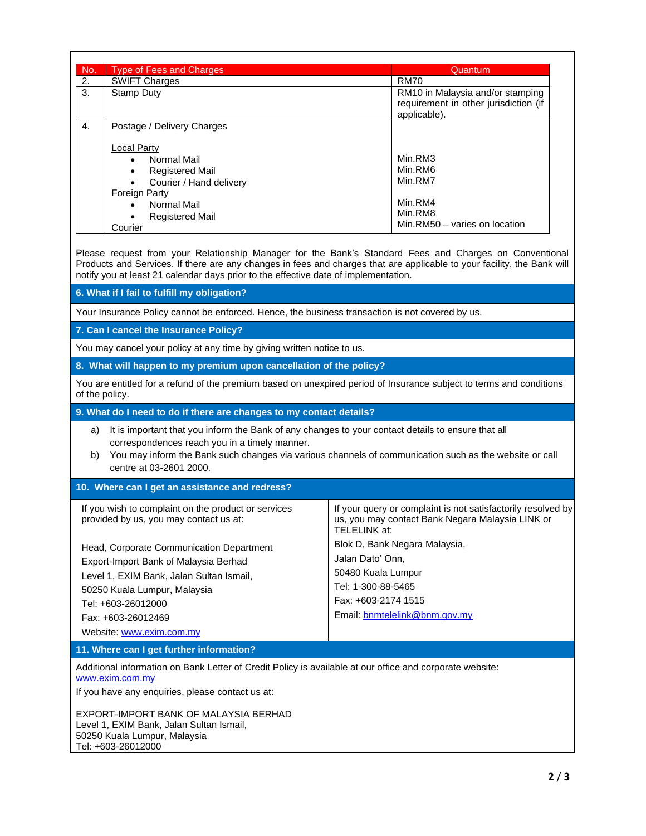| No. | <b>Type of Fees and Charges</b> | Quantum                                                                                   |
|-----|---------------------------------|-------------------------------------------------------------------------------------------|
| 2.  | <b>SWIFT Charges</b>            | <b>RM70</b>                                                                               |
| 3.  | Stamp Duty                      | RM10 in Malaysia and/or stamping<br>requirement in other jurisdiction (if<br>applicable). |
| 4.  | Postage / Delivery Charges      |                                                                                           |
|     | <b>Local Party</b>              |                                                                                           |
|     | Normal Mail<br>$\bullet$        | Min.RM3                                                                                   |
|     | <b>Registered Mail</b><br>٠     | Min.RM6                                                                                   |
|     | Courier / Hand delivery         | Min.RM7                                                                                   |
|     | <b>Foreign Party</b>            |                                                                                           |
|     | Normal Mail<br>$\bullet$        | Min.RM4                                                                                   |
|     | <b>Registered Mail</b>          | Min.RM8                                                                                   |
|     | Courier                         | Min.RM50 - varies on location                                                             |

Please request from your Relationship Manager for the Bank's Standard Fees and Charges on Conventional Products and Services. If there are any changes in fees and charges that are applicable to your facility, the Bank will notify you at least 21 calendar days prior to the effective date of implementation.

**6. What if I fail to fulfill my obligation?**

Your Insurance Policy cannot be enforced. Hence, the business transaction is not covered by us.

**7. Can I cancel the Insurance Policy?**

You may cancel your policy at any time by giving written notice to us.

**8. What will happen to my premium upon cancellation of the policy?**

You are entitled for a refund of the premium based on unexpired period of Insurance subject to terms and conditions of the policy.

**9. What do I need to do if there are changes to my contact details?**

- a) It is important that you inform the Bank of any changes to your contact details to ensure that all correspondences reach you in a timely manner.
- b) You may inform the Bank such changes via various channels of communication such as the website or call centre at 03-2601 2000.

Email: [bnmtelelink@bnm.gov.my](mailto:bnmtelelink@bnm.gov.my)

#### **10. Where can I get an assistance and redress?**

| If you wish to complaint on the product or services<br>provided by us, you may contact us at: | If your query or complaint is not satisfactorily resolve<br>us, you may contact Bank Negara Malaysia LINK or<br>TELELINK at: |
|-----------------------------------------------------------------------------------------------|------------------------------------------------------------------------------------------------------------------------------|
| Head, Corporate Communication Department<br>Export-Import Bank of Malaysia Berhad             | Blok D, Bank Negara Malaysia,<br>Jalan Dato' Onn,                                                                            |
| Level 1, EXIM Bank, Jalan Sultan Ismail,                                                      | 50480 Kuala Lumpur                                                                                                           |
| 50250 Kuala Lumpur, Malaysia                                                                  | Tel: 1-300-88-5465                                                                                                           |
| Tel: +603-26012000                                                                            | Fax: +603-2174 1515                                                                                                          |

Website: [www.exim.com.my](http://www.exim.com.my/)

Fax: +603-26012469

**11. Where can I get further information?**

Additional information on Bank Letter of Credit Policy is available at our office and corporate website: [www.exim.com.my](http://www.exim.com.my/)

If you have any enquiries, please contact us at:

EXPORT-IMPORT BANK OF MALAYSIA BERHAD Level 1, EXIM Bank, Jalan Sultan Ismail, 50250 Kuala Lumpur, Malaysia Tel: +603-26012000

resolved by